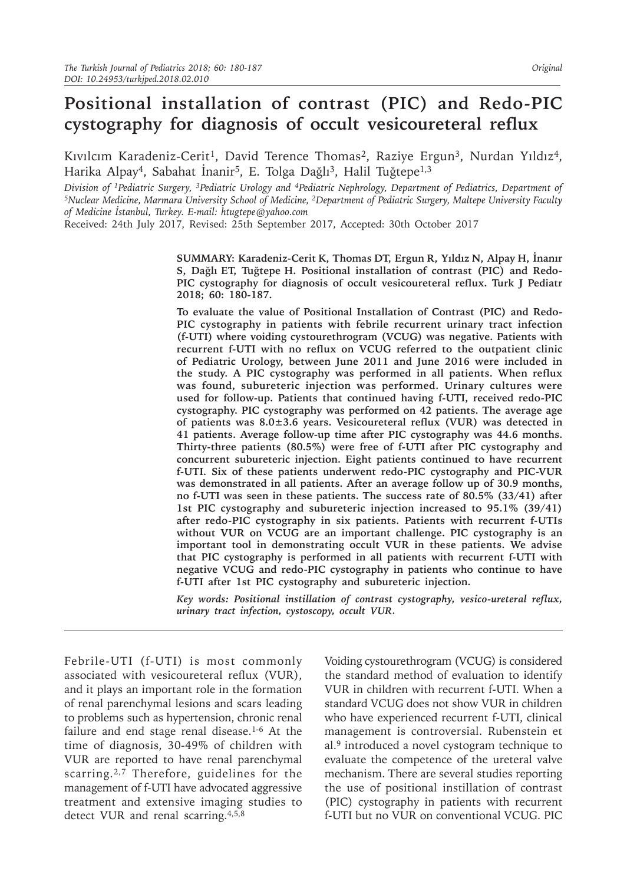# **Positional installation of contrast (PIC) and Redo-PIC cystography for diagnosis of occult vesicoureteral reflux**

Kıvılcım Karadeniz-Cerit<sup>1</sup>, David Terence Thomas<sup>2</sup>, Raziye Ergun<sup>3</sup>, Nurdan Yıldız<sup>4</sup>, Harika Alpay<sup>4</sup>, Sabahat İnanir<sup>5</sup>, E. Tolga Dağlı<sup>3</sup>, Halil Tuğtepe<sup>1,3</sup>

Division of <sup>1</sup>Pediatric Surgery, <sup>3</sup>Pediatric Urology and <sup>4</sup>Pediatric Nephrology, Department of Pediatrics, Department of<br><sup>5</sup>Nuclear Medicine, Marmara University School of Medicine, <sup>2</sup>Department of Pediatric Surgery, Ma *of Medicine İstanbul, Turkey. E-mail: htugtepe@yahoo.com*

Received: 24th July 2017, Revised: 25th September 2017, Accepted: 30th October 2017

**SUMMARY: Karadeniz-Cerit K, Thomas DT, Ergun R, Yıldız N, Alpay H, İnanır S, Dağlı ET, Tuğtepe H. Positional installation of contrast (PIC) and Redo-PIC cystography for diagnosis of occult vesicoureteral reflux. Turk J Pediatr 2018; 60: 180-187.**

**To evaluate the value of Positional Installation of Contrast (PIC) and Redo-PIC cystography in patients with febrile recurrent urinary tract infection (f-UTI) where voiding cystourethrogram (VCUG) was negative. Patients with recurrent f-UTI with no reflux on VCUG referred to the outpatient clinic of Pediatric Urology, between June 2011 and June 2016 were included in the study. A PIC cystography was performed in all patients. When reflux was found, subureteric injection was performed. Urinary cultures were used for follow-up. Patients that continued having f-UTI, received redo-PIC cystography. PIC cystography was performed on 42 patients. The average age of patients was 8.0±3.6 years. Vesicoureteral reflux (VUR) was detected in 41 patients. Average follow-up time after PIC cystography was 44.6 months. Thirty-three patients (80.5%) were free of f-UTI after PIC cystography and concurrent subureteric injection. Eight patients continued to have recurrent f-UTI. Six of these patients underwent redo-PIC cystography and PIC-VUR was demonstrated in all patients. After an average follow up of 30.9 months, no f-UTI was seen in these patients. The success rate of 80.5% (33/41) after 1st PIC cystography and subureteric injection increased to 95.1% (39/41) after redo-PIC cystography in six patients. Patients with recurrent f-UTIs without VUR on VCUG are an important challenge. PIC cystography is an important tool in demonstrating occult VUR in these patients. We advise that PIC cystography is performed in all patients with recurrent f-UTI with negative VCUG and redo-PIC cystography in patients who continue to have f-UTI after 1st PIC cystography and subureteric injection.**

*Key words: Positional instillation of contrast cystography, vesico-ureteral reflux, urinary tract infection, cystoscopy, occult VUR.*

Febrile-UTI (f-UTI) is most commonly associated with vesicoureteral reflux (VUR), and it plays an important role in the formation of renal parenchymal lesions and scars leading to problems such as hypertension, chronic renal failure and end stage renal disease.<sup>1-6</sup> At the time of diagnosis, 30-49% of children with VUR are reported to have renal parenchymal scarring.<sup>2,7</sup> Therefore, guidelines for the management of f-UTI have advocated aggressive treatment and extensive imaging studies to detect VUR and renal scarring.4,5,8

Voiding cystourethrogram (VCUG) is considered the standard method of evaluation to identify VUR in children with recurrent f-UTI. When a standard VCUG does not show VUR in children who have experienced recurrent f-UTI, clinical management is controversial. Rubenstein et al.9 introduced a novel cystogram technique to evaluate the competence of the ureteral valve mechanism. There are several studies reporting the use of positional instillation of contrast (PIC) cystography in patients with recurrent f-UTI but no VUR on conventional VCUG. PIC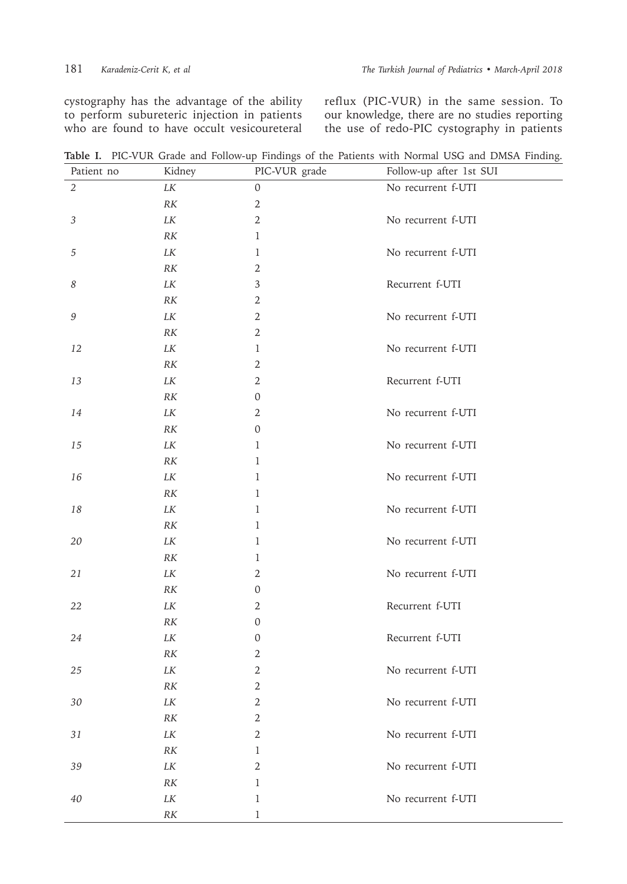cystography has the advantage of the ability to perform subureteric injection in patients who are found to have occult vesicoureteral

reflux (PIC-VUR) in the same session. To our knowledge, there are no studies reporting the use of redo-PIC cystography in patients

**Table I.** PIC-VUR Grade and Follow-up Findings of the Patients with Normal USG and DMSA Finding.

| Patient no                                                | Kidney            | PIC-VUR grade    | Follow-up after 1st SUI |  |
|-----------------------------------------------------------|-------------------|------------------|-------------------------|--|
| $\overline{2}$                                            | $L\cal{K}$        | 0                | No recurrent f-UTI      |  |
|                                                           | $R\mathcal{K}$    | $\mathbf{2}$     |                         |  |
| $\sqrt{3}$                                                | LK                | $\mathbf{2}$     | No recurrent f-UTI      |  |
|                                                           | R K               | $\mathbf{1}$     |                         |  |
| 5                                                         | LK                | 1                | No recurrent f-UTI      |  |
|                                                           | $R\mathcal{K}$    | 2                |                         |  |
| 8                                                         | $L\cal{K}$        | 3                | Recurrent f-UTI         |  |
|                                                           | RK                | 2                |                         |  |
| $\mathcal{G}% _{M_{1},M_{2}}^{\alpha,\beta}(\varepsilon)$ | $L\cal{K}$        | $\mathbf{2}$     | No recurrent f-UTI      |  |
|                                                           | $R\mathcal{K}$    | $\overline{2}$   |                         |  |
| 12                                                        | $L\cal{K}$        | 1                | No recurrent f-UTI      |  |
|                                                           | $R\mathcal{K}$    | $\mathbf{2}$     |                         |  |
| 13                                                        | $L\cal{K}$        | $\overline{2}$   | Recurrent f-UTI         |  |
|                                                           | $R\mathcal{K}$    | 0                |                         |  |
| 14                                                        | $L\cal{K}$        | $\mathbf{2}$     | No recurrent f-UTI      |  |
|                                                           | RK                | 0                |                         |  |
| 15                                                        | $L\cal{K}$        | 1                | No recurrent f-UTI      |  |
|                                                           | $R\mathcal{K}$    | $\mathbf{1}$     |                         |  |
| 16                                                        | LK                | $\mathbf{1}$     | No recurrent f-UTI      |  |
|                                                           | $R\mathcal{K}$    | 1                |                         |  |
| 18                                                        | $L\cal{K}$        | 1                | No recurrent f-UTI      |  |
|                                                           | $R\mathcal{K}$    | 1                |                         |  |
| 20                                                        | LK                | 1                | No recurrent f-UTI      |  |
|                                                           | $R\mathcal{K}$    | 1                |                         |  |
| 21                                                        | LK                | 2                | No recurrent f-UTI      |  |
|                                                           | $R\mathcal{K}$    | $\boldsymbol{0}$ |                         |  |
| 22                                                        | LK                | 2                | Recurrent f-UTI         |  |
|                                                           | $R\mathcal{K}$    | 0                |                         |  |
| 24                                                        | $L\cal{K}$        | 0                | Recurrent f-UTI         |  |
|                                                           | $R\mathcal{K}$    | $\mathbf{2}$     |                         |  |
| 25                                                        | LK                | 2                | No recurrent f-UTI      |  |
|                                                           | $R\ensuremath{K}$ | $\mathbf{2}$     |                         |  |
| $30\,$                                                    | $L\cal{K}$        | $\sqrt{2}$       | No recurrent f-UTI      |  |
|                                                           | $R\mathcal{K}$    | $\mathbf{2}$     |                         |  |
| $3\sqrt{1}$                                               | $L\cal{K}$        | $\overline{2}$   | No recurrent f-UTI      |  |
|                                                           | $R\mathcal{K}$    | 1                |                         |  |
| 39                                                        | $L\cal{K}$        | $\mathbf{2}$     | No recurrent f-UTI      |  |
|                                                           | $R\ensuremath{K}$ | $\mathbf{1}$     |                         |  |
| 40                                                        | $L\cal{K}$        | 1                | No recurrent f-UTI      |  |
|                                                           | $\cal{RK}$        | 1                |                         |  |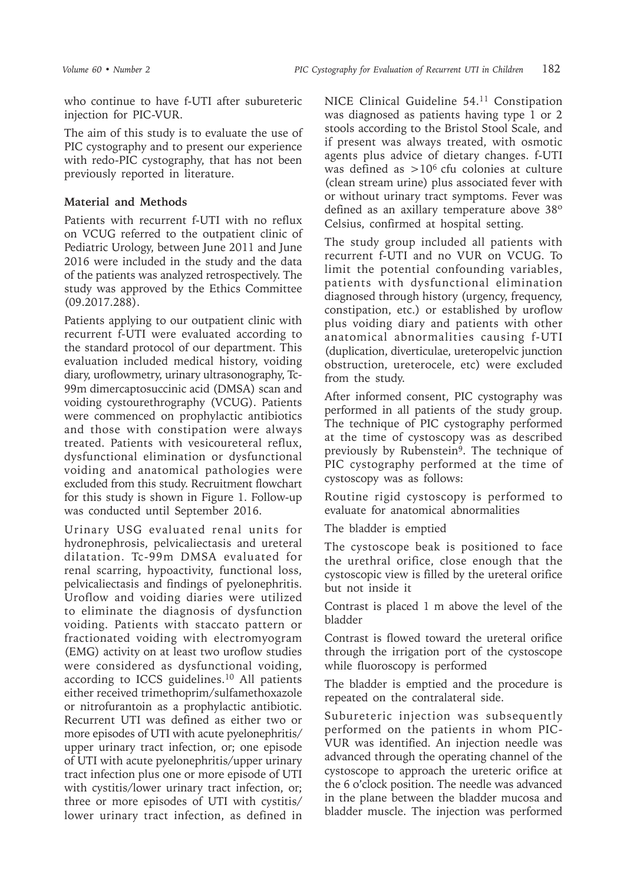who continue to have f-UTI after subureteric injection for PIC-VUR.

The aim of this study is to evaluate the use of PIC cystography and to present our experience with redo-PIC cystography, that has not been previously reported in literature.

## **Material and Methods**

Patients with recurrent f-UTI with no reflux on VCUG referred to the outpatient clinic of Pediatric Urology, between June 2011 and June 2016 were included in the study and the data of the patients was analyzed retrospectively. The study was approved by the Ethics Committee (09.2017.288).

Patients applying to our outpatient clinic with recurrent f-UTI were evaluated according to the standard protocol of our department. This evaluation included medical history, voiding diary, uroflowmetry, urinary ultrasonography, Tc-99m dimercaptosuccinic acid (DMSA) scan and voiding cystourethrography (VCUG). Patients were commenced on prophylactic antibiotics and those with constipation were always treated. Patients with vesicoureteral reflux, dysfunctional elimination or dysfunctional voiding and anatomical pathologies were excluded from this study. Recruitment flowchart for this study is shown in Figure 1. Follow-up was conducted until September 2016.

Urinary USG evaluated renal units for hydronephrosis, pelvicaliectasis and ureteral dilatation. Tc-99m DMSA evaluated for renal scarring, hypoactivity, functional loss, pelvicaliectasis and findings of pyelonephritis. Uroflow and voiding diaries were utilized to eliminate the diagnosis of dysfunction voiding. Patients with staccato pattern or fractionated voiding with electromyogram (EMG) activity on at least two uroflow studies were considered as dysfunctional voiding, according to ICCS guidelines.<sup>10</sup> All patients either received trimethoprim/sulfamethoxazole or nitrofurantoin as a prophylactic antibiotic. Recurrent UTI was defined as either two or more episodes of UTI with acute pyelonephritis/ upper urinary tract infection, or; one episode of UTI with acute pyelonephritis/upper urinary tract infection plus one or more episode of UTI with cystitis/lower urinary tract infection, or; three or more episodes of UTI with cystitis/ lower urinary tract infection, as defined in

NICE Clinical Guideline 54.11 Constipation was diagnosed as patients having type 1 or 2 stools according to the Bristol Stool Scale, and if present was always treated, with osmotic agents plus advice of dietary changes. f-UTI was defined as  $>10^6$  cfu colonies at culture (clean stream urine) plus associated fever with or without urinary tract symptoms. Fever was defined as an axillary temperature above 38º Celsius, confirmed at hospital setting.

The study group included all patients with recurrent f-UTI and no VUR on VCUG. To limit the potential confounding variables, patients with dysfunctional elimination diagnosed through history (urgency, frequency, constipation, etc.) or established by uroflow plus voiding diary and patients with other anatomical abnormalities causing f-UTI (duplication, diverticulae, ureteropelvic junction obstruction, ureterocele, etc) were excluded from the study.

After informed consent, PIC cystography was performed in all patients of the study group. The technique of PIC cystography performed at the time of cystoscopy was as described previously by Rubenstein<sup>9</sup>. The technique of PIC cystography performed at the time of cystoscopy was as follows:

Routine rigid cystoscopy is performed to evaluate for anatomical abnormalities

The bladder is emptied

The cystoscope beak is positioned to face the urethral orifice, close enough that the cystoscopic view is filled by the ureteral orifice but not inside it

Contrast is placed 1 m above the level of the bladder

Contrast is flowed toward the ureteral orifice through the irrigation port of the cystoscope while fluoroscopy is performed

The bladder is emptied and the procedure is repeated on the contralateral side.

Subureteric injection was subsequently performed on the patients in whom PIC-VUR was identified. An injection needle was advanced through the operating channel of the cystoscope to approach the ureteric orifice at the 6 o'clock position. The needle was advanced in the plane between the bladder mucosa and bladder muscle. The injection was performed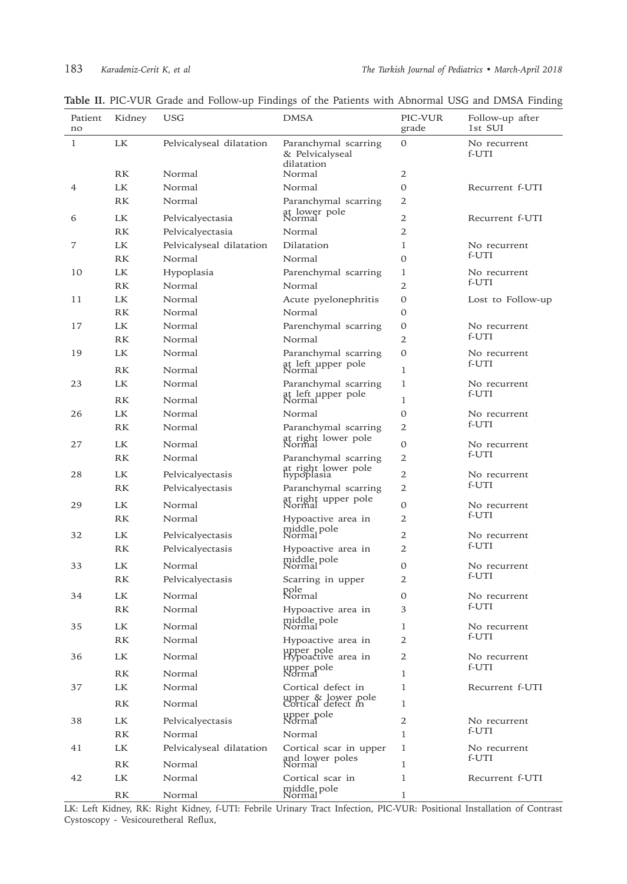| Patient<br>no | Kidney    | USG                      | <b>DMSA</b>                                           | PIC-VUR<br>grade | Follow-up after<br>1st SUI |
|---------------|-----------|--------------------------|-------------------------------------------------------|------------------|----------------------------|
| 1             | LK        | Pelvicalyseal dilatation | Paranchymal scarring<br>& Pelvicalyseal<br>dilatation | 0                | No recurrent<br>f-UTI      |
|               | RK        | Normal                   | Normal                                                | 2                |                            |
| 4             | LK        | Normal                   | Normal                                                | 0                | Recurrent f-UTI            |
|               | RK        | Normal                   | Paranchymal scarring                                  | 2                |                            |
| 6             | <b>LK</b> | Pelvicalyectasia         | at lower pole<br>Normal                               | 2                | Recurrent f-UTI            |
|               | <b>RK</b> | Pelvicalyectasia         | Normal                                                | 2                |                            |
| 7             | <b>LK</b> | Pelvicalyseal dilatation | Dilatation                                            | 1                | No recurrent               |
|               | <b>RK</b> | Normal                   | Normal                                                | $\mathbf{O}$     | f-UTI                      |
| 10            | LK        | Hypoplasia               | Parenchymal scarring                                  | 1                | No recurrent               |
|               | <b>RK</b> | Normal                   | Normal                                                | 2                | f-UTI                      |
| 11            | LK        | Normal                   | Acute pyelonephritis                                  | 0                | Lost to Follow-up          |
|               | RK        | Normal                   | Normal                                                | $\mathbf{O}$     |                            |
| 17            | <b>LK</b> | Normal                   | Parenchymal scarring                                  | 0                | No recurrent               |
|               | RK        | Normal                   | Normal                                                | 2                | f-UTI                      |
| 19            | LK.       | Normal                   | Paranchymal scarring                                  | 0                | No recurrent               |
|               | RK        | Normal                   | at left upper pole<br>Normal                          | 1                | f-UTI                      |
| 23            | LK.       | Normal                   | Paranchymal scarring                                  | 1                | No recurrent               |
|               | <b>RK</b> | Normal                   | at left upper pole<br>Normal                          | 1                | f-UTI                      |
| 26            | LK        | Normal                   | Normal                                                | 0                | No recurrent               |
|               | RK        | Normal                   | Paranchymal scarring                                  | 2                | f-UTI                      |
|               |           |                          | at right lower pole<br>Normal                         |                  |                            |
| 27            | <b>LK</b> | Normal                   |                                                       | 0                | No recurrent<br>f-UTI      |
|               | <b>RK</b> | Normal                   | Paranchymal scarring<br>at right lower pole           | 2                |                            |
| 28            | LK.       | Pelvicalyectasis         | hypoplasia                                            | 2                | No recurrent               |
|               | RK.       | Pelvicalyectasis         | Paranchymal scarring                                  | 2                | f-UTI                      |
| 29            | LK        | Normal                   | at right upper pole<br>Normal                         | 0                | No recurrent               |
|               | <b>RK</b> | Normal                   | Hypoactive area in                                    | 2                | f-UTI                      |
| 32            | LK.       | Pelvicalyectasis         | middle pole<br>Normal                                 | 2                | No recurrent               |
|               | RK        | Pelvicalyectasis         | Hypoactive area in                                    | 2                | f-UTI                      |
| 33            | LK.       | Normal                   | middle pole<br>Normal                                 | 0                | No recurrent               |
|               | RK        | Pelvicalyectasis         | Scarring in upper                                     | 2                | f-UTI                      |
| 34            |           |                          | pole<br>Normal                                        | 0                |                            |
|               | LK<br>RK  | Normal<br>Normal         |                                                       | 3                | No recurrent<br>f-UTI      |
|               |           |                          | Hypoactive area in                                    |                  |                            |
| 35            | LK        | Normal                   | middle pole<br>Normal                                 | 1                | No recurrent<br>f-UTI      |
|               | <b>RK</b> | Normal                   | Hypoactive area in                                    | $\overline{2}$   |                            |
| 36            | <b>LK</b> | Normal                   | upper pole<br>Hypoactive area in                      | 2                | No recurrent               |
|               | RK        | Normal                   | upper pole<br>Normal                                  | 1                | f-UTI                      |
| 37            | <b>LK</b> | Normal                   | Cortical defect in                                    | 1                | Recurrent f-UTI            |
|               | RK        | Normal                   | upper & lower pole<br>Cortical defect in              | 1                |                            |
| 38            | LK.       | Pelvicalyectasis         | upper pole<br>Normal                                  | 2                | No recurrent               |
|               | RK        | Normal                   | Normal                                                | $\mathbf{1}$     | f-UTI                      |
| 41            | LK.       | Pelvicalyseal dilatation | Cortical scar in upper                                | 1                | No recurrent               |
|               | RK        | Normal                   | and lower poles<br>Normal                             | 1                | f-UTI                      |
| 42            | LK.       | Normal                   | Cortical scar in                                      | 1                | Recurrent f-UTI            |
|               | RK        | Normal                   | middle pole<br>Normal                                 | 1                |                            |

**Table II.** PIC-VUR Grade and Follow-up Findings of the Patients with Abnormal USG and DMSA Finding

LK: Left Kidney, RK: Right Kidney, f-UTI: Febrile Urinary Tract Infection, PIC-VUR: Positional Installation of Contrast Cystoscopy - Vesicouretheral Reflux,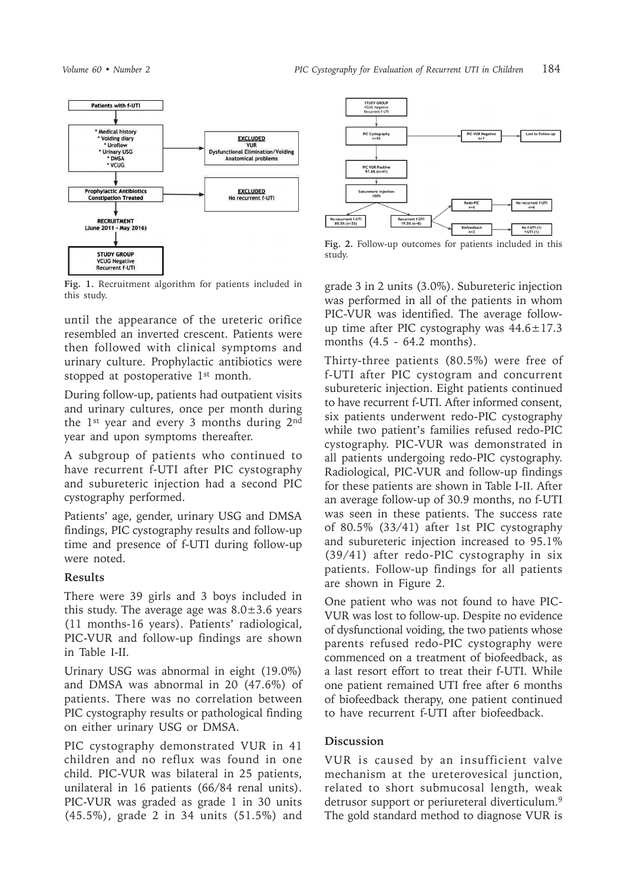

**Fig. 1.** Recruitment algorithm for patients included in this study.

until the appearance of the ureteric orifice resembled an inverted crescent. Patients were then followed with clinical symptoms and urinary culture. Prophylactic antibiotics were stopped at postoperative 1<sup>st</sup> month.

During follow-up, patients had outpatient visits and urinary cultures, once per month during the 1st year and every 3 months during 2nd year and upon symptoms thereafter.

A subgroup of patients who continued to have recurrent f-UTI after PIC cystography and subureteric injection had a second PIC cystography performed.

Patients' age, gender, urinary USG and DMSA findings, PIC cystography results and follow-up time and presence of f-UTI during follow-up were noted.

#### **Results**

There were 39 girls and 3 boys included in this study. The average age was  $8.0 \pm 3.6$  years (11 months-16 years). Patients' radiological, PIC-VUR and follow-up findings are shown in Table I-II.

Urinary USG was abnormal in eight (19.0%) and DMSA was abnormal in 20 (47.6%) of patients. There was no correlation between PIC cystography results or pathological finding on either urinary USG or DMSA.

PIC cystography demonstrated VUR in 41 children and no reflux was found in one child. PIC-VUR was bilateral in 25 patients, unilateral in 16 patients (66/84 renal units). PIC-VUR was graded as grade 1 in 30 units (45.5%), grade 2 in 34 units (51.5%) and



**Fig. 2.** Follow-up outcomes for patients included in this study.

grade 3 in 2 units (3.0%). Subureteric injection was performed in all of the patients in whom PIC-VUR was identified. The average followup time after PIC cystography was  $44.6 \pm 17.3$ months (4.5 - 64.2 months).

Thirty-three patients (80.5%) were free of f-UTI after PIC cystogram and concurrent subureteric injection. Eight patients continued to have recurrent f-UTI. After informed consent, six patients underwent redo-PIC cystography while two patient's families refused redo-PIC cystography. PIC-VUR was demonstrated in all patients undergoing redo-PIC cystography. Radiological, PIC-VUR and follow-up findings for these patients are shown in Table I-II. After an average follow-up of 30.9 months, no f-UTI was seen in these patients. The success rate of 80.5% (33/41) after 1st PIC cystography and subureteric injection increased to 95.1% (39/41) after redo-PIC cystography in six patients. Follow-up findings for all patients are shown in Figure 2.

One patient who was not found to have PIC-VUR was lost to follow-up. Despite no evidence of dysfunctional voiding, the two patients whose parents refused redo-PIC cystography were commenced on a treatment of biofeedback, as a last resort effort to treat their f-UTI. While one patient remained UTI free after 6 months of biofeedback therapy, one patient continued to have recurrent f-UTI after biofeedback.

### **Discussion**

VUR is caused by an insufficient valve mechanism at the ureterovesical junction, related to short submucosal length, weak detrusor support or periureteral diverticulum.9 The gold standard method to diagnose VUR is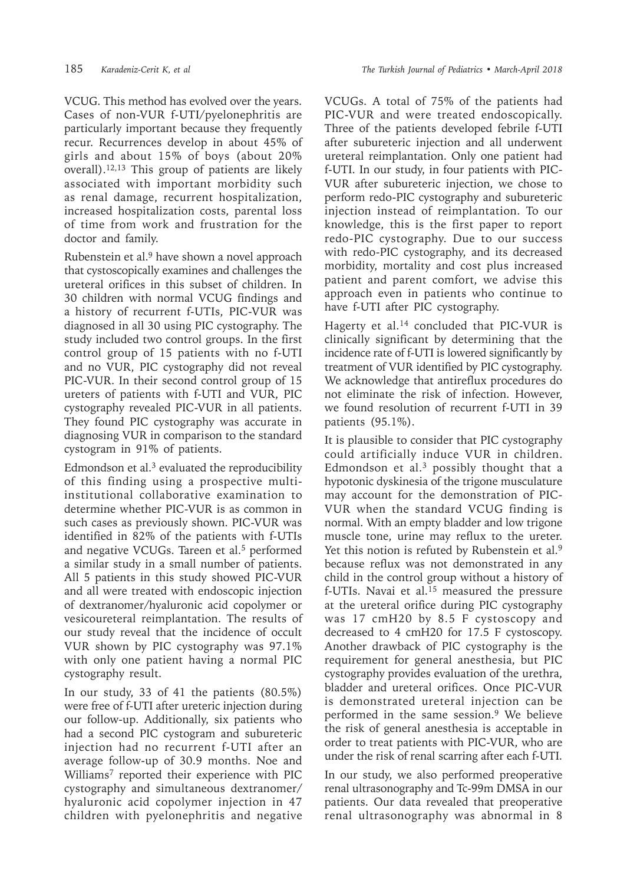VCUG. This method has evolved over the years. Cases of non-VUR f-UTI/pyelonephritis are particularly important because they frequently recur. Recurrences develop in about 45% of girls and about 15% of boys (about 20% overall).12,13 This group of patients are likely associated with important morbidity such as renal damage, recurrent hospitalization, increased hospitalization costs, parental loss of time from work and frustration for the doctor and family.

Rubenstein et al.<sup>9</sup> have shown a novel approach that cystoscopically examines and challenges the ureteral orifices in this subset of children. In 30 children with normal VCUG findings and a history of recurrent f-UTIs, PIC-VUR was diagnosed in all 30 using PIC cystography. The study included two control groups. In the first control group of 15 patients with no f-UTI and no VUR, PIC cystography did not reveal PIC-VUR. In their second control group of 15 ureters of patients with f-UTI and VUR, PIC cystography revealed PIC-VUR in all patients. They found PIC cystography was accurate in diagnosing VUR in comparison to the standard cystogram in 91% of patients.

Edmondson et al. $3$  evaluated the reproducibility of this finding using a prospective multiinstitutional collaborative examination to determine whether PIC-VUR is as common in such cases as previously shown. PIC-VUR was identified in 82% of the patients with f-UTIs and negative VCUGs. Tareen et al.<sup>5</sup> performed a similar study in a small number of patients. All 5 patients in this study showed PIC-VUR and all were treated with endoscopic injection of dextranomer/hyaluronic acid copolymer or vesicoureteral reimplantation. The results of our study reveal that the incidence of occult VUR shown by PIC cystography was 97.1% with only one patient having a normal PIC cystography result.

In our study, 33 of 41 the patients (80.5%) were free of f-UTI after ureteric injection during our follow-up. Additionally, six patients who had a second PIC cystogram and subureteric injection had no recurrent f-UTI after an average follow-up of 30.9 months. Noe and Williams7 reported their experience with PIC cystography and simultaneous dextranomer/ hyaluronic acid copolymer injection in 47 children with pyelonephritis and negative

VCUGs. A total of 75% of the patients had PIC-VUR and were treated endoscopically. Three of the patients developed febrile f-UTI after subureteric injection and all underwent ureteral reimplantation. Only one patient had f-UTI. In our study, in four patients with PIC-VUR after subureteric injection, we chose to perform redo-PIC cystography and subureteric injection instead of reimplantation. To our knowledge, this is the first paper to report redo-PIC cystography. Due to our success with redo-PIC cystography, and its decreased morbidity, mortality and cost plus increased patient and parent comfort, we advise this approach even in patients who continue to have f-UTI after PIC cystography.

Hagerty et al.14 concluded that PIC-VUR is clinically significant by determining that the incidence rate of f-UTI is lowered significantly by treatment of VUR identified by PIC cystography. We acknowledge that antireflux procedures do not eliminate the risk of infection. However, we found resolution of recurrent f-UTI in 39 patients (95.1%).

It is plausible to consider that PIC cystography could artificially induce VUR in children. Edmondson et al. $3$  possibly thought that a hypotonic dyskinesia of the trigone musculature may account for the demonstration of PIC-VUR when the standard VCUG finding is normal. With an empty bladder and low trigone muscle tone, urine may reflux to the ureter. Yet this notion is refuted by Rubenstein et al.<sup>9</sup> because reflux was not demonstrated in any child in the control group without a history of f-UTIs. Navai et al.15 measured the pressure at the ureteral orifice during PIC cystography was 17 cmH20 by 8.5 F cystoscopy and decreased to 4 cmH20 for 17.5 F cystoscopy. Another drawback of PIC cystography is the requirement for general anesthesia, but PIC cystography provides evaluation of the urethra, bladder and ureteral orifices. Once PIC-VUR is demonstrated ureteral injection can be performed in the same session.9 We believe the risk of general anesthesia is acceptable in order to treat patients with PIC-VUR, who are under the risk of renal scarring after each f-UTI.

In our study, we also performed preoperative renal ultrasonography and Tc-99m DMSA in our patients. Our data revealed that preoperative renal ultrasonography was abnormal in 8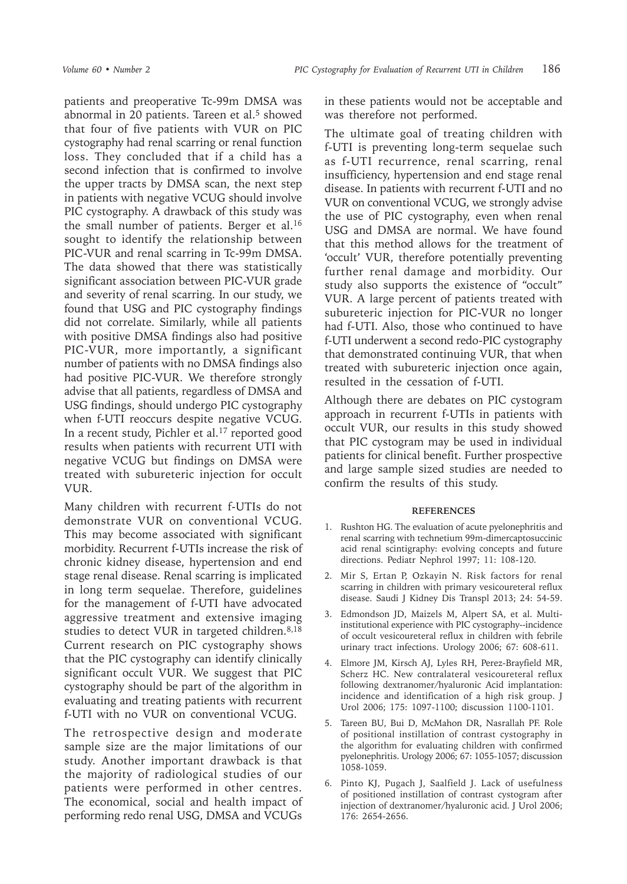patients and preoperative Tc-99m DMSA was abnormal in 20 patients. Tareen et al.<sup>5</sup> showed that four of five patients with VUR on PIC cystography had renal scarring or renal function loss. They concluded that if a child has a second infection that is confirmed to involve the upper tracts by DMSA scan, the next step in patients with negative VCUG should involve PIC cystography. A drawback of this study was the small number of patients. Berger et al.<sup>16</sup> sought to identify the relationship between PIC-VUR and renal scarring in Tc-99m DMSA. The data showed that there was statistically significant association between PIC-VUR grade and severity of renal scarring. In our study, we found that USG and PIC cystography findings did not correlate. Similarly, while all patients with positive DMSA findings also had positive PIC-VUR, more importantly, a significant number of patients with no DMSA findings also had positive PIC-VUR. We therefore strongly advise that all patients, regardless of DMSA and USG findings, should undergo PIC cystography when f-UTI reoccurs despite negative VCUG. In a recent study, Pichler et al.<sup>17</sup> reported good results when patients with recurrent UTI with negative VCUG but findings on DMSA were treated with subureteric injection for occult VUR.

Many children with recurrent f-UTIs do not demonstrate VUR on conventional VCUG. This may become associated with significant morbidity. Recurrent f-UTIs increase the risk of chronic kidney disease, hypertension and end stage renal disease. Renal scarring is implicated in long term sequelae. Therefore, guidelines for the management of f-UTI have advocated aggressive treatment and extensive imaging studies to detect VUR in targeted children.<sup>8,18</sup> Current research on PIC cystography shows that the PIC cystography can identify clinically significant occult VUR. We suggest that PIC cystography should be part of the algorithm in evaluating and treating patients with recurrent f-UTI with no VUR on conventional VCUG.

The retrospective design and moderate sample size are the major limitations of our study. Another important drawback is that the majority of radiological studies of our patients were performed in other centres. The economical, social and health impact of performing redo renal USG, DMSA and VCUGs

in these patients would not be acceptable and was therefore not performed.

The ultimate goal of treating children with f-UTI is preventing long-term sequelae such as f-UTI recurrence, renal scarring, renal insufficiency, hypertension and end stage renal disease. In patients with recurrent f-UTI and no VUR on conventional VCUG, we strongly advise the use of PIC cystography, even when renal USG and DMSA are normal. We have found that this method allows for the treatment of 'occult' VUR, therefore potentially preventing further renal damage and morbidity. Our study also supports the existence of "occult" VUR. A large percent of patients treated with subureteric injection for PIC-VUR no longer had f-UTI. Also, those who continued to have f-UTI underwent a second redo-PIC cystography that demonstrated continuing VUR, that when treated with subureteric injection once again, resulted in the cessation of f-UTI.

Although there are debates on PIC cystogram approach in recurrent f-UTIs in patients with occult VUR, our results in this study showed that PIC cystogram may be used in individual patients for clinical benefit. Further prospective and large sample sized studies are needed to confirm the results of this study.

#### **REFERENCES**

- 1. Rushton HG. The evaluation of acute pyelonephritis and renal scarring with technetium 99m-dimercaptosuccinic acid renal scintigraphy: evolving concepts and future directions. Pediatr Nephrol 1997; 11: 108-120.
- 2. Mir S, Ertan P, Ozkayin N. Risk factors for renal scarring in children with primary vesicoureteral reflux disease. Saudi J Kidney Dis Transpl 2013; 24: 54-59.
- 3. Edmondson JD, Maizels M, Alpert SA, et al. Multiinstitutional experience with PIC cystography--incidence of occult vesicoureteral reflux in children with febrile urinary tract infections. Urology 2006; 67: 608-611.
- 4. Elmore JM, Kirsch AJ, Lyles RH, Perez-Brayfield MR, Scherz HC. New contralateral vesicoureteral reflux following dextranomer/hyaluronic Acid implantation: incidence and identification of a high risk group. J Urol 2006; 175: 1097-1100; discussion 1100-1101.
- 5. Tareen BU, Bui D, McMahon DR, Nasrallah PF. Role of positional instillation of contrast cystography in the algorithm for evaluating children with confirmed pyelonephritis. Urology 2006; 67: 1055-1057; discussion 1058-1059.
- 6. Pinto KJ, Pugach J, Saalfield J. Lack of usefulness of positioned instillation of contrast cystogram after injection of dextranomer/hyaluronic acid. J Urol 2006; 176: 2654-2656.